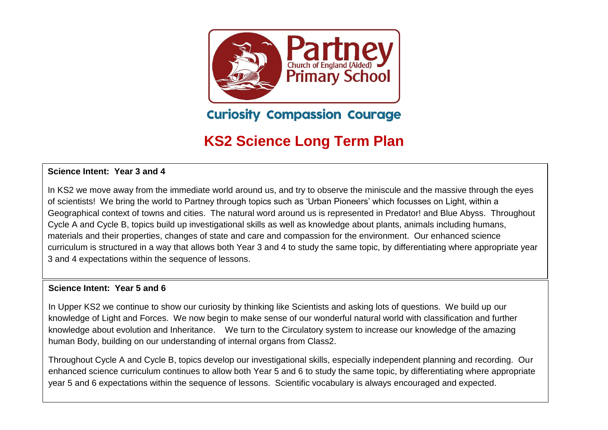

**Curiosity Compassion Courage** 

# **KS2 Science Long Term Plan**

#### **Science Intent: Year 3 and 4**

In KS2 we move away from the immediate world around us, and try to observe the miniscule and the massive through the eyes of scientists! We bring the world to Partney through topics such as 'Urban Pioneers' which focusses on Light, within a Geographical context of towns and cities. The natural word around us is represented in Predator! and Blue Abyss. Throughout Cycle A and Cycle B, topics build up investigational skills as well as knowledge about plants, animals including humans, materials and their properties, changes of state and care and compassion for the environment. Our enhanced science curriculum is structured in a way that allows both Year 3 and 4 to study the same topic, by differentiating where appropriate year 3 and 4 expectations within the sequence of lessons.

#### **Science Intent: Year 5 and 6**

In Upper KS2 we continue to show our curiosity by thinking like Scientists and asking lots of questions. We build up our knowledge of Light and Forces. We now begin to make sense of our wonderful natural world with classification and further knowledge about evolution and Inheritance. We turn to the Circulatory system to increase our knowledge of the amazing human Body, building on our understanding of internal organs from Class2.

Throughout Cycle A and Cycle B, topics develop our investigational skills, especially independent planning and recording. Our enhanced science curriculum continues to allow both Year 5 and 6 to study the same topic, by differentiating where appropriate year 5 and 6 expectations within the sequence of lessons. Scientific vocabulary is always encouraged and expected.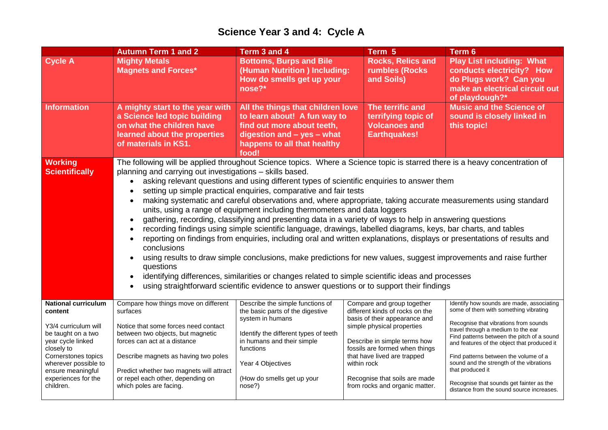### **Science Year 3 and 4: Cycle A**

|                                                                                                                                                                                                                   | <b>Autumn Term 1 and 2</b>                                                                                                                                                                                                                                                                                                                                                                                                                                                                                                                                                                                                                                                                                                                                                                                                                                                                                                                                                                                                                                                                                                               | Term 3 and 4                                                                                                                                                                                                                    | Term 5                                                                                                                                                                                                                                                                        | Term 6                                                                                                                                                                                                                                                                                                                                                                  |  |  |  |
|-------------------------------------------------------------------------------------------------------------------------------------------------------------------------------------------------------------------|------------------------------------------------------------------------------------------------------------------------------------------------------------------------------------------------------------------------------------------------------------------------------------------------------------------------------------------------------------------------------------------------------------------------------------------------------------------------------------------------------------------------------------------------------------------------------------------------------------------------------------------------------------------------------------------------------------------------------------------------------------------------------------------------------------------------------------------------------------------------------------------------------------------------------------------------------------------------------------------------------------------------------------------------------------------------------------------------------------------------------------------|---------------------------------------------------------------------------------------------------------------------------------------------------------------------------------------------------------------------------------|-------------------------------------------------------------------------------------------------------------------------------------------------------------------------------------------------------------------------------------------------------------------------------|-------------------------------------------------------------------------------------------------------------------------------------------------------------------------------------------------------------------------------------------------------------------------------------------------------------------------------------------------------------------------|--|--|--|
| <b>Cycle A</b>                                                                                                                                                                                                    | <b>Mighty Metals</b><br><b>Magnets and Forces*</b>                                                                                                                                                                                                                                                                                                                                                                                                                                                                                                                                                                                                                                                                                                                                                                                                                                                                                                                                                                                                                                                                                       | <b>Bottoms, Burps and Bile</b><br>(Human Nutrition) Including:<br>How do smells get up your<br>nose?*                                                                                                                           | <b>Rocks, Relics and</b><br>rumbles (Rocks)<br>and Soils)                                                                                                                                                                                                                     | <b>Play List including: What</b><br>conducts electricity? How<br>do Plugs work? Can you<br>make an electrical circuit out<br>of playdough?*<br><b>Music and the Science of</b><br>sound is closely linked in<br>this topic!                                                                                                                                             |  |  |  |
| <b>Information</b>                                                                                                                                                                                                | A mighty start to the year with<br>a Science led topic building<br>on what the children have<br>learned about the properties<br>of materials in KS1.                                                                                                                                                                                                                                                                                                                                                                                                                                                                                                                                                                                                                                                                                                                                                                                                                                                                                                                                                                                     | All the things that children love<br>to learn about! A fun way to<br>find out more about teeth,<br>digestion and - yes - what<br>happens to all that healthy<br>food!                                                           | The terrific and<br>terrifying topic of<br><b>Volcanoes and</b><br><b>Earthquakes!</b>                                                                                                                                                                                        |                                                                                                                                                                                                                                                                                                                                                                         |  |  |  |
| <b>Working</b>                                                                                                                                                                                                    | The following will be applied throughout Science topics. Where a Science topic is starred there is a heavy concentration of                                                                                                                                                                                                                                                                                                                                                                                                                                                                                                                                                                                                                                                                                                                                                                                                                                                                                                                                                                                                              |                                                                                                                                                                                                                                 |                                                                                                                                                                                                                                                                               |                                                                                                                                                                                                                                                                                                                                                                         |  |  |  |
| <b>Scientifically</b>                                                                                                                                                                                             | planning and carrying out investigations - skills based.<br>asking relevant questions and using different types of scientific enquiries to answer them<br>setting up simple practical enquiries, comparative and fair tests<br>making systematic and careful observations and, where appropriate, taking accurate measurements using standard<br>units, using a range of equipment including thermometers and data loggers<br>gathering, recording, classifying and presenting data in a variety of ways to help in answering questions<br>recording findings using simple scientific language, drawings, labelled diagrams, keys, bar charts, and tables<br>reporting on findings from enquiries, including oral and written explanations, displays or presentations of results and<br>conclusions<br>using results to draw simple conclusions, make predictions for new values, suggest improvements and raise further<br>questions<br>identifying differences, similarities or changes related to simple scientific ideas and processes<br>using straightforward scientific evidence to answer questions or to support their findings |                                                                                                                                                                                                                                 |                                                                                                                                                                                                                                                                               |                                                                                                                                                                                                                                                                                                                                                                         |  |  |  |
| <b>National curriculum</b><br>content<br>Y3/4 curriculum will<br>be taught on a two<br>year cycle linked<br>closely to<br>Cornerstones topics<br>wherever possible to<br>ensure meaningful<br>experiences for the | Compare how things move on different<br>surfaces<br>Notice that some forces need contact<br>between two objects, but magnetic<br>forces can act at a distance<br>Describe magnets as having two poles<br>Predict whether two magnets will attract<br>or repel each other, depending on                                                                                                                                                                                                                                                                                                                                                                                                                                                                                                                                                                                                                                                                                                                                                                                                                                                   | Describe the simple functions of<br>the basic parts of the digestive<br>system in humans<br>Identify the different types of teeth<br>in humans and their simple<br>functions<br>Year 4 Objectives<br>(How do smells get up your | Compare and group together<br>different kinds of rocks on the<br>basis of their appearance and<br>simple physical properties<br>Describe in simple terms how<br>fossils are formed when things<br>that have lived are trapped<br>within rock<br>Recognise that soils are made | Identify how sounds are made, associating<br>some of them with something vibrating<br>Recognise that vibrations from sounds<br>travel through a medium to the ear<br>Find patterns between the pitch of a sound<br>and features of the object that produced it<br>Find patterns between the volume of a<br>sound and the strength of the vibrations<br>that produced it |  |  |  |
| children.                                                                                                                                                                                                         | which poles are facing.                                                                                                                                                                                                                                                                                                                                                                                                                                                                                                                                                                                                                                                                                                                                                                                                                                                                                                                                                                                                                                                                                                                  | nose?)                                                                                                                                                                                                                          | from rocks and organic matter.                                                                                                                                                                                                                                                | Recognise that sounds get fainter as the<br>distance from the sound source increases.                                                                                                                                                                                                                                                                                   |  |  |  |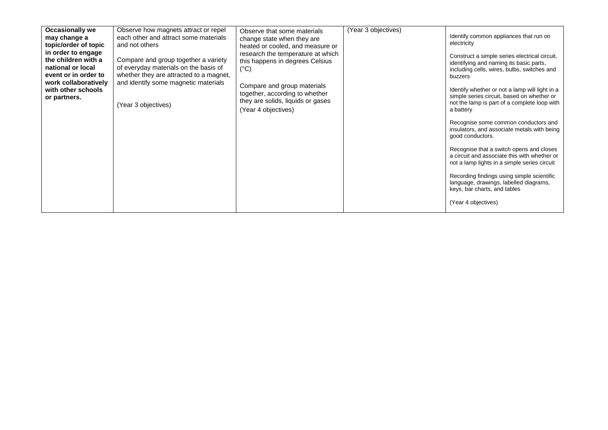| <b>Occasionally we</b> | Observe how magnets attract or repel    | Observe that some materials                                   | (Year 3 objectives) |                                                                                                                                          |
|------------------------|-----------------------------------------|---------------------------------------------------------------|---------------------|------------------------------------------------------------------------------------------------------------------------------------------|
| may change a           | each other and attract some materials   | change state when they are                                    |                     | Identify common appliances that run on                                                                                                   |
| topic/order of topic   | and not others                          | heated or cooled, and measure or                              |                     | electricity                                                                                                                              |
| in order to engage     |                                         | research the temperature at which                             |                     |                                                                                                                                          |
| the children with a    | Compare and group together a variety    | this happens in degrees Celsius                               |                     | Construct a simple series electrical circuit,                                                                                            |
| national or local      | of everyday materials on the basis of   | $(^{\circ}C)$                                                 |                     | identifying and naming its basic parts,<br>including cells, wires, bulbs, switches and                                                   |
| event or in order to   | whether they are attracted to a magnet, |                                                               |                     | buzzers                                                                                                                                  |
| work collaboratively   | and identify some magnetic materials    |                                                               |                     |                                                                                                                                          |
| with other schools     |                                         | Compare and group materials<br>together, according to whether |                     | Identify whether or not a lamp will light in a                                                                                           |
| or partners.           |                                         | they are solids, liquids or gases                             |                     | simple series circuit, based on whether or                                                                                               |
|                        | (Year 3 objectives)                     |                                                               |                     | not the lamp is part of a complete loop with                                                                                             |
|                        |                                         | (Year 4 objectives)                                           |                     | a battery                                                                                                                                |
|                        |                                         |                                                               |                     | Recognise some common conductors and<br>insulators, and associate metals with being<br>good conductors.                                  |
|                        |                                         |                                                               |                     | Recognise that a switch opens and closes<br>a circuit and associate this with whether or<br>not a lamp lights in a simple series circuit |
|                        |                                         |                                                               |                     | Recording findings using simple scientific<br>language, drawings, labelled diagrams,<br>keys, bar charts, and tables                     |
|                        |                                         |                                                               |                     | (Year 4 objectives)                                                                                                                      |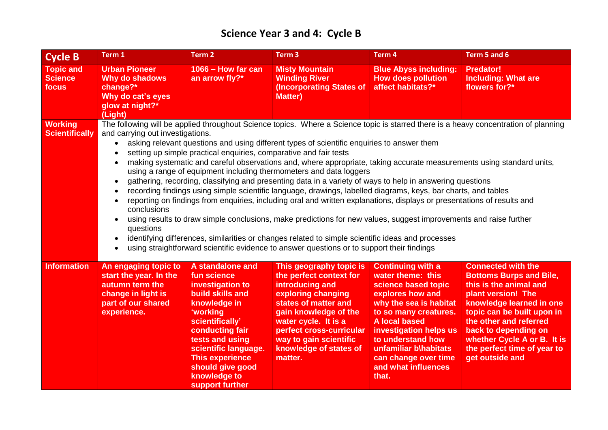## **Science Year 3 and 4: Cycle B**

| <b>Cycle B</b>                              | Term 1                                                                                                                                                                                                                                                                                                                                                                                                                                                                                                                                                                                                                                                                                                                                                                                                                                                                                                                                                                                                                                                                                                                                                                                                                                                                                                                                 | Term 2                                                                                                                                                                                                                                                                | Term <sub>3</sub>                                                                                                                                                                                                                                               | Term 4                                                                                                                                                                                                                                                                                              | Term 5 and 6                                                                                                                                                                                                                                                                                             |  |  |
|---------------------------------------------|----------------------------------------------------------------------------------------------------------------------------------------------------------------------------------------------------------------------------------------------------------------------------------------------------------------------------------------------------------------------------------------------------------------------------------------------------------------------------------------------------------------------------------------------------------------------------------------------------------------------------------------------------------------------------------------------------------------------------------------------------------------------------------------------------------------------------------------------------------------------------------------------------------------------------------------------------------------------------------------------------------------------------------------------------------------------------------------------------------------------------------------------------------------------------------------------------------------------------------------------------------------------------------------------------------------------------------------|-----------------------------------------------------------------------------------------------------------------------------------------------------------------------------------------------------------------------------------------------------------------------|-----------------------------------------------------------------------------------------------------------------------------------------------------------------------------------------------------------------------------------------------------------------|-----------------------------------------------------------------------------------------------------------------------------------------------------------------------------------------------------------------------------------------------------------------------------------------------------|----------------------------------------------------------------------------------------------------------------------------------------------------------------------------------------------------------------------------------------------------------------------------------------------------------|--|--|
| <b>Topic and</b><br><b>Science</b><br>focus | <b>Urban Pioneer</b><br><b>Why do shadows</b><br>change?*<br>Why do cat's eyes<br>glow at night?*<br>(Light)                                                                                                                                                                                                                                                                                                                                                                                                                                                                                                                                                                                                                                                                                                                                                                                                                                                                                                                                                                                                                                                                                                                                                                                                                           | 1066 - How far can<br>an arrow fly?*                                                                                                                                                                                                                                  | <b>Misty Mountain</b><br><b>Winding River</b><br><b>(Incorporating States of</b><br><b>Matter)</b>                                                                                                                                                              | <b>Blue Abyss including:</b><br><b>How does pollution</b><br>affect habitats?*                                                                                                                                                                                                                      | <b>Predator!</b><br><b>Including: What are</b><br>flowers for?*                                                                                                                                                                                                                                          |  |  |
| <b>Working</b><br><b>Scientifically</b>     | The following will be applied throughout Science topics. Where a Science topic is starred there is a heavy concentration of planning<br>and carrying out investigations.<br>asking relevant questions and using different types of scientific enquiries to answer them<br>setting up simple practical enquiries, comparative and fair tests<br>making systematic and careful observations and, where appropriate, taking accurate measurements using standard units,<br>using a range of equipment including thermometers and data loggers<br>gathering, recording, classifying and presenting data in a variety of ways to help in answering questions<br>$\bullet$<br>recording findings using simple scientific language, drawings, labelled diagrams, keys, bar charts, and tables<br>$\bullet$<br>reporting on findings from enquiries, including oral and written explanations, displays or presentations of results and<br>$\bullet$<br>conclusions<br>using results to draw simple conclusions, make predictions for new values, suggest improvements and raise further<br>$\bullet$<br>questions<br>identifying differences, similarities or changes related to simple scientific ideas and processes<br>$\bullet$<br>using straightforward scientific evidence to answer questions or to support their findings<br>$\bullet$ |                                                                                                                                                                                                                                                                       |                                                                                                                                                                                                                                                                 |                                                                                                                                                                                                                                                                                                     |                                                                                                                                                                                                                                                                                                          |  |  |
| <b>Information</b>                          | An engaging topic to<br>start the year. In the<br>autumn term the<br>change in light is<br>part of our shared<br>experience.                                                                                                                                                                                                                                                                                                                                                                                                                                                                                                                                                                                                                                                                                                                                                                                                                                                                                                                                                                                                                                                                                                                                                                                                           | A standalone and<br>fun science<br>investigation to<br>build skills and<br>knowledge in<br>'working<br>scientifically'<br>conducting fair<br>tests and using<br>scientific language.<br><b>This experience</b><br>should give good<br>knowledge to<br>support further | This geography topic is<br>the perfect context for<br>introducing and<br>exploring changing<br>states of matter and<br>gain knowledge of the<br>water cycle. It is a<br>perfect cross-curricular<br>way to gain scientific<br>knowledge of states of<br>matter. | <b>Continuing with a</b><br>water theme: this<br>science based topic<br>explores how and<br>why the sea is habitat<br>to so many creatures.<br><b>A local based</b><br>investigation helps us<br>to understand how<br>unfamiliar b\habitats<br>can change over time<br>and what influences<br>that. | <b>Connected with the</b><br><b>Bottoms Burps and Bile,</b><br>this is the animal and<br>plant version! The<br>knowledge learned in one<br>topic can be built upon in<br>the other and referred<br>back to depending on<br>whether Cycle A or B. It is<br>the perfect time of year to<br>get outside and |  |  |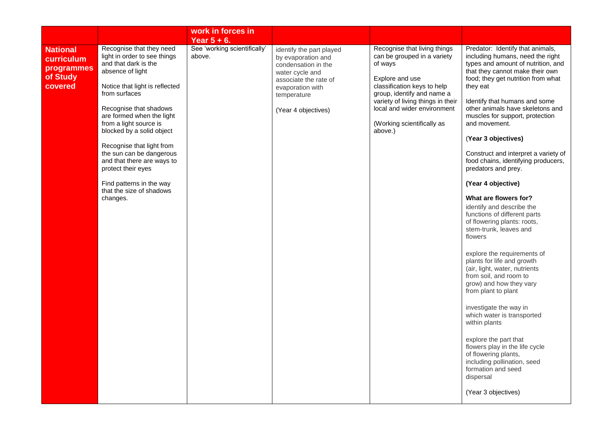|                                                                    |                                                                                                                                                                                                                                                                                                                                                                                                                                                        | work in forces in<br>Year $5 + 6$ .    |                                                                                                                                                                             |                                                                                                                                                                                                                                                                     |                                                                                                                                                                                                                                                                                                                                                                                                                                                                                                                                                                                                                                                                                                                                                                                                                                                                                                                                                                                                                                                                      |
|--------------------------------------------------------------------|--------------------------------------------------------------------------------------------------------------------------------------------------------------------------------------------------------------------------------------------------------------------------------------------------------------------------------------------------------------------------------------------------------------------------------------------------------|----------------------------------------|-----------------------------------------------------------------------------------------------------------------------------------------------------------------------------|---------------------------------------------------------------------------------------------------------------------------------------------------------------------------------------------------------------------------------------------------------------------|----------------------------------------------------------------------------------------------------------------------------------------------------------------------------------------------------------------------------------------------------------------------------------------------------------------------------------------------------------------------------------------------------------------------------------------------------------------------------------------------------------------------------------------------------------------------------------------------------------------------------------------------------------------------------------------------------------------------------------------------------------------------------------------------------------------------------------------------------------------------------------------------------------------------------------------------------------------------------------------------------------------------------------------------------------------------|
| <b>National</b><br>curriculum<br>programmes<br>of Study<br>covered | Recognise that they need<br>light in order to see things<br>and that dark is the<br>absence of light<br>Notice that light is reflected<br>from surfaces<br>Recognise that shadows<br>are formed when the light<br>from a light source is<br>blocked by a solid object<br>Recognise that light from<br>the sun can be dangerous<br>and that there are ways to<br>protect their eyes<br>Find patterns in the way<br>that the size of shadows<br>changes. | See 'working scientifically'<br>above. | identify the part played<br>by evaporation and<br>condensation in the<br>water cycle and<br>associate the rate of<br>evaporation with<br>temperature<br>(Year 4 objectives) | Recognise that living things<br>can be grouped in a variety<br>of ways<br>Explore and use<br>classification keys to help<br>group, identify and name a<br>variety of living things in their<br>local and wider environment<br>(Working scientifically as<br>above.) | Predator: Identify that animals,<br>including humans, need the right<br>types and amount of nutrition, and<br>that they cannot make their own<br>food; they get nutrition from what<br>they eat<br>Identify that humans and some<br>other animals have skeletons and<br>muscles for support, protection<br>and movement.<br>(Year 3 objectives)<br>Construct and interpret a variety of<br>food chains, identifying producers,<br>predators and prey.<br>(Year 4 objective)<br>What are flowers for?<br>identify and describe the<br>functions of different parts<br>of flowering plants: roots,<br>stem-trunk, leaves and<br>flowers<br>explore the requirements of<br>plants for life and growth<br>(air, light, water, nutrients<br>from soil, and room to<br>grow) and how they vary<br>from plant to plant<br>investigate the way in<br>which water is transported<br>within plants<br>explore the part that<br>flowers play in the life cycle<br>of flowering plants,<br>including pollination, seed<br>formation and seed<br>dispersal<br>(Year 3 objectives) |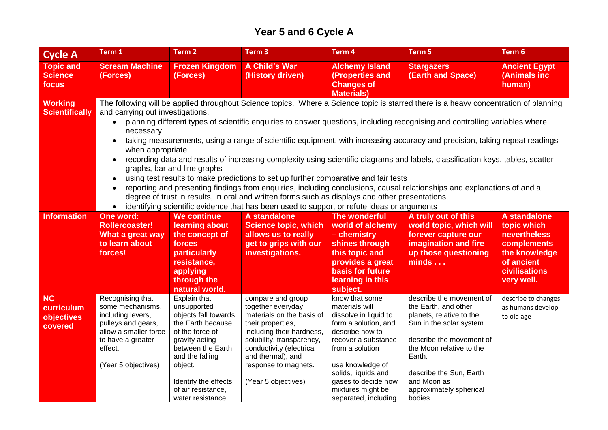### **Year 5 and 6 Cycle A**

| <b>Cycle A</b>                                   | Term 1                                                                                                                                                                                                                                                                                                                                                                                                                                                                                                                                                                                                                                                                                                                                                                                                                                                                                                                                                                                                                                                                                                                                  | Term 2                                                                                                                                                                                                                             | Term <sub>3</sub>                                                                                                                                                                                                                                  | Term 4                                                                                                                                                                                                                                                        | Term 5                                                                                                                                                                                                                                                     | Term 6                                                                                                                          |  |
|--------------------------------------------------|-----------------------------------------------------------------------------------------------------------------------------------------------------------------------------------------------------------------------------------------------------------------------------------------------------------------------------------------------------------------------------------------------------------------------------------------------------------------------------------------------------------------------------------------------------------------------------------------------------------------------------------------------------------------------------------------------------------------------------------------------------------------------------------------------------------------------------------------------------------------------------------------------------------------------------------------------------------------------------------------------------------------------------------------------------------------------------------------------------------------------------------------|------------------------------------------------------------------------------------------------------------------------------------------------------------------------------------------------------------------------------------|----------------------------------------------------------------------------------------------------------------------------------------------------------------------------------------------------------------------------------------------------|---------------------------------------------------------------------------------------------------------------------------------------------------------------------------------------------------------------------------------------------------------------|------------------------------------------------------------------------------------------------------------------------------------------------------------------------------------------------------------------------------------------------------------|---------------------------------------------------------------------------------------------------------------------------------|--|
| <b>Topic and</b><br><b>Science</b><br>focus      | <b>Scream Machine</b><br>(Forces)                                                                                                                                                                                                                                                                                                                                                                                                                                                                                                                                                                                                                                                                                                                                                                                                                                                                                                                                                                                                                                                                                                       | <b>Frozen Kingdom</b><br>(Forces)                                                                                                                                                                                                  | <b>A Child's War</b><br>(History driven)                                                                                                                                                                                                           | <b>Alchemy Island</b><br>(Properties and<br><b>Changes of</b><br><b>Materials)</b>                                                                                                                                                                            | <b>Stargazers</b><br>(Earth and Space)                                                                                                                                                                                                                     | <b>Ancient Egypt</b><br>(Animals inc<br>human)                                                                                  |  |
| <b>Working</b><br><b>Scientifically</b>          | The following will be applied throughout Science topics. Where a Science topic is starred there is a heavy concentration of planning<br>and carrying out investigations.<br>planning different types of scientific enquiries to answer questions, including recognising and controlling variables where<br>$\bullet$<br>necessary<br>taking measurements, using a range of scientific equipment, with increasing accuracy and precision, taking repeat readings<br>$\bullet$<br>when appropriate<br>recording data and results of increasing complexity using scientific diagrams and labels, classification keys, tables, scatter<br>$\bullet$<br>graphs, bar and line graphs<br>using test results to make predictions to set up further comparative and fair tests<br>$\bullet$<br>reporting and presenting findings from enquiries, including conclusions, causal relationships and explanations of and a<br>$\bullet$<br>degree of trust in results, in oral and written forms such as displays and other presentations<br>identifying scientific evidence that has been used to support or refute ideas or arguments<br>$\bullet$ |                                                                                                                                                                                                                                    |                                                                                                                                                                                                                                                    |                                                                                                                                                                                                                                                               |                                                                                                                                                                                                                                                            |                                                                                                                                 |  |
| <b>Information</b>                               | One word:<br><b>Rollercoaster!</b><br>What a great way<br>to learn about<br>forces!                                                                                                                                                                                                                                                                                                                                                                                                                                                                                                                                                                                                                                                                                                                                                                                                                                                                                                                                                                                                                                                     | <b>We continue</b><br>learning about<br>the concept of<br>forces<br>particularly<br>resistance,<br>applying<br>through the<br>natural world.                                                                                       | A standalone<br><b>Science topic, which</b><br>allows us to really<br>get to grips with our<br>investigations.                                                                                                                                     | The wonderful<br>world of alchemy<br>- chemistry<br>shines through<br>this topic and<br>provides a great<br><b>basis for future</b><br>learning in this<br>subject.                                                                                           | A truly out of this<br>world topic, which will<br>forever capture our<br>imagination and fire<br>up those questioning<br>minds                                                                                                                             | A standalone<br>topic which<br><b>nevertheless</b><br>complements<br>the knowledge<br>of ancient<br>civilisations<br>very well. |  |
| <b>NC</b><br>curriculum<br>objectives<br>covered | Recognising that<br>some mechanisms,<br>including levers,<br>pulleys and gears,<br>allow a smaller force<br>to have a greater<br>effect.<br>(Year 5 objectives)                                                                                                                                                                                                                                                                                                                                                                                                                                                                                                                                                                                                                                                                                                                                                                                                                                                                                                                                                                         | Explain that<br>unsupported<br>objects fall towards<br>the Earth because<br>of the force of<br>gravity acting<br>between the Earth<br>and the falling<br>object.<br>Identify the effects<br>of air resistance,<br>water resistance | compare and group<br>together everyday<br>materials on the basis of<br>their properties,<br>including their hardness,<br>solubility, transparency,<br>conductivity (electrical<br>and thermal), and<br>response to magnets.<br>(Year 5 objectives) | know that some<br>materials will<br>dissolve in liquid to<br>form a solution, and<br>describe how to<br>recover a substance<br>from a solution<br>use knowledge of<br>solids, liquids and<br>gases to decide how<br>mixtures might be<br>separated, including | describe the movement of<br>the Earth, and other<br>planets, relative to the<br>Sun in the solar system.<br>describe the movement of<br>the Moon relative to the<br>Earth.<br>describe the Sun, Earth<br>and Moon as<br>approximately spherical<br>bodies. | describe to changes<br>as humans develop<br>to old age                                                                          |  |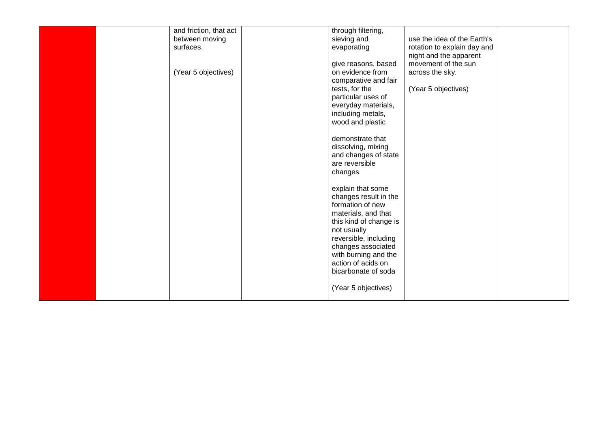|  | and friction, that act | through filtering,     |                             |  |
|--|------------------------|------------------------|-----------------------------|--|
|  |                        |                        | use the idea of the Earth's |  |
|  | between moving         | sieving and            |                             |  |
|  | surfaces.              | evaporating            | rotation to explain day and |  |
|  |                        |                        | night and the apparent      |  |
|  |                        | give reasons, based    | movement of the sun         |  |
|  | (Year 5 objectives)    | on evidence from       | across the sky.             |  |
|  |                        | comparative and fair   |                             |  |
|  |                        | tests, for the         | (Year 5 objectives)         |  |
|  |                        | particular uses of     |                             |  |
|  |                        | everyday materials,    |                             |  |
|  |                        | including metals,      |                             |  |
|  |                        |                        |                             |  |
|  |                        | wood and plastic       |                             |  |
|  |                        |                        |                             |  |
|  |                        | demonstrate that       |                             |  |
|  |                        | dissolving, mixing     |                             |  |
|  |                        | and changes of state   |                             |  |
|  |                        | are reversible         |                             |  |
|  |                        | changes                |                             |  |
|  |                        |                        |                             |  |
|  |                        | explain that some      |                             |  |
|  |                        | changes result in the  |                             |  |
|  |                        | formation of new       |                             |  |
|  |                        | materials, and that    |                             |  |
|  |                        |                        |                             |  |
|  |                        | this kind of change is |                             |  |
|  |                        | not usually            |                             |  |
|  |                        | reversible, including  |                             |  |
|  |                        | changes associated     |                             |  |
|  |                        | with burning and the   |                             |  |
|  |                        | action of acids on     |                             |  |
|  |                        | bicarbonate of soda    |                             |  |
|  |                        |                        |                             |  |
|  |                        | (Year 5 objectives)    |                             |  |
|  |                        |                        |                             |  |
|  |                        |                        |                             |  |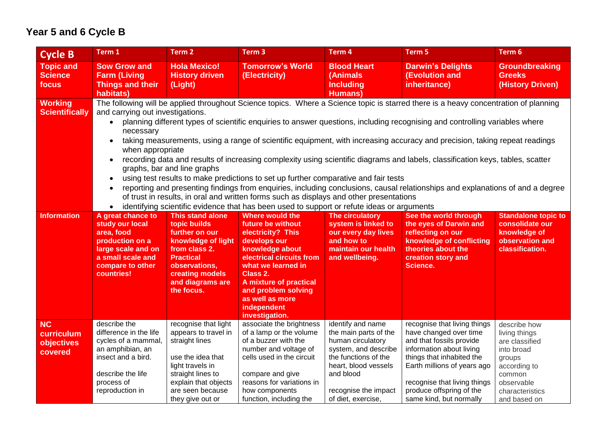### **Year 5 and 6 Cycle B**

| <b>Cycle B</b>                                   | Term 1                                                                                                                                                                                                                                                                                                                                                                                                                                                                                                                                                                                                                                                                                                                                                                                                                                                                                                                                                                                                                                                                              | Term 2                                                                                                                                                                                       | Term 3                                                                                                                                                                                                                                                          | Term 4                                                                                                                                                                                             | Term <sub>5</sub>                                                                                                                                                                                                                                                 | Term 6                                                                                                                                             |  |
|--------------------------------------------------|-------------------------------------------------------------------------------------------------------------------------------------------------------------------------------------------------------------------------------------------------------------------------------------------------------------------------------------------------------------------------------------------------------------------------------------------------------------------------------------------------------------------------------------------------------------------------------------------------------------------------------------------------------------------------------------------------------------------------------------------------------------------------------------------------------------------------------------------------------------------------------------------------------------------------------------------------------------------------------------------------------------------------------------------------------------------------------------|----------------------------------------------------------------------------------------------------------------------------------------------------------------------------------------------|-----------------------------------------------------------------------------------------------------------------------------------------------------------------------------------------------------------------------------------------------------------------|----------------------------------------------------------------------------------------------------------------------------------------------------------------------------------------------------|-------------------------------------------------------------------------------------------------------------------------------------------------------------------------------------------------------------------------------------------------------------------|----------------------------------------------------------------------------------------------------------------------------------------------------|--|
| <b>Topic and</b><br><b>Science</b><br>focus      | <b>Sow Grow and</b><br><b>Farm (Living</b><br><b>Things and their</b><br>habitats)                                                                                                                                                                                                                                                                                                                                                                                                                                                                                                                                                                                                                                                                                                                                                                                                                                                                                                                                                                                                  | <b>Hola Mexico!</b><br><b>History driven</b><br>(Light)                                                                                                                                      | <b>Tomorrow's World</b><br>(Electricity)                                                                                                                                                                                                                        | <b>Blood Heart</b><br>(Animals)<br><b>Including</b><br><b>Humans</b> )                                                                                                                             | <b>Darwin's Delights</b><br>(Evolution and<br>inheritance)                                                                                                                                                                                                        | <b>Groundbreaking</b><br><b>Greeks</b><br>(History Driven)                                                                                         |  |
| <b>Working</b><br><b>Scientifically</b>          | The following will be applied throughout Science topics. Where a Science topic is starred there is a heavy concentration of planning<br>and carrying out investigations.<br>planning different types of scientific enquiries to answer questions, including recognising and controlling variables where<br>necessary<br>taking measurements, using a range of scientific equipment, with increasing accuracy and precision, taking repeat readings<br>when appropriate<br>recording data and results of increasing complexity using scientific diagrams and labels, classification keys, tables, scatter<br>graphs, bar and line graphs<br>using test results to make predictions to set up further comparative and fair tests<br>$\bullet$<br>reporting and presenting findings from enquiries, including conclusions, causal relationships and explanations of and a degree<br>$\bullet$<br>of trust in results, in oral and written forms such as displays and other presentations<br>identifying scientific evidence that has been used to support or refute ideas or arguments |                                                                                                                                                                                              |                                                                                                                                                                                                                                                                 |                                                                                                                                                                                                    |                                                                                                                                                                                                                                                                   |                                                                                                                                                    |  |
| <b>Information</b>                               | A great chance to<br>study our local<br>area, food<br>production on a<br>large scale and on<br>a small scale and<br>compare to other<br>countries!                                                                                                                                                                                                                                                                                                                                                                                                                                                                                                                                                                                                                                                                                                                                                                                                                                                                                                                                  | <b>This stand alone</b><br>topic builds<br>further on our<br>knowledge of light<br>from class 2.<br><b>Practical</b><br>observations,<br>creating models<br>and diagrams are<br>the focus.   | Where would the<br>future be without<br>electricity? This<br>develops our<br>knowledge about<br>electrical circuits from<br>what we learned in<br>Class 2.<br>A mixture of practical<br>and problem solving<br>as well as more<br>independent<br>investigation. | The circulatory<br>system is linked to<br>our every day lives<br>and how to<br>maintain our health<br>and wellbeing.                                                                               | See the world through<br>the eyes of Darwin and<br>reflecting on our<br>knowledge of conflicting<br>theories about the<br>creation story and<br><b>Science.</b>                                                                                                   | <b>Standalone topic to</b><br>consolidate our<br>knowledge of<br>observation and<br>classification.                                                |  |
| <b>NC</b><br>curriculum<br>objectives<br>covered | describe the<br>difference in the life<br>cycles of a mammal,<br>an amphibian, an<br>insect and a bird.<br>describe the life<br>process of<br>reproduction in                                                                                                                                                                                                                                                                                                                                                                                                                                                                                                                                                                                                                                                                                                                                                                                                                                                                                                                       | recognise that light<br>appears to travel in<br>straight lines<br>use the idea that<br>light travels in<br>straight lines to<br>explain that objects<br>are seen because<br>they give out or | associate the brightness<br>of a lamp or the volume<br>of a buzzer with the<br>number and voltage of<br>cells used in the circuit<br>compare and give<br>reasons for variations in<br>how components<br>function, including the                                 | identify and name<br>the main parts of the<br>human circulatory<br>system, and describe<br>the functions of the<br>heart, blood vessels<br>and blood<br>recognise the impact<br>of diet, exercise, | recognise that living things<br>have changed over time<br>and that fossils provide<br>information about living<br>things that inhabited the<br>Earth millions of years ago<br>recognise that living things<br>produce offspring of the<br>same kind, but normally | describe how<br>living things<br>are classified<br>into broad<br>groups<br>according to<br>common<br>observable<br>characteristics<br>and based on |  |